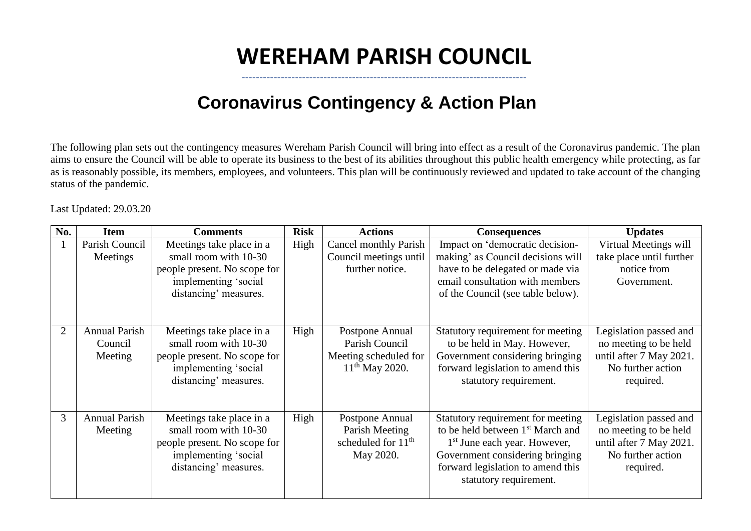## **WEREHAM PARISH COUNCIL**

--------------------------------------------------------------------------------

## **Coronavirus Contingency & Action Plan**

The following plan sets out the contingency measures Wereham Parish Council will bring into effect as a result of the Coronavirus pandemic. The plan aims to ensure the Council will be able to operate its business to the best of its abilities throughout this public health emergency while protecting, as far as is reasonably possible, its members, employees, and volunteers. This plan will be continuously reviewed and updated to take account of the changing status of the pandemic.

Last Updated: 29.03.20

| No. | <b>Item</b>                                | <b>Comments</b>                                                                                                                    | <b>Risk</b> | <b>Actions</b>                                                                   | <b>Consequences</b>                                                                                                                                                                                                             | <b>Updates</b>                                                                                               |
|-----|--------------------------------------------|------------------------------------------------------------------------------------------------------------------------------------|-------------|----------------------------------------------------------------------------------|---------------------------------------------------------------------------------------------------------------------------------------------------------------------------------------------------------------------------------|--------------------------------------------------------------------------------------------------------------|
|     | Parish Council<br>Meetings                 | Meetings take place in a<br>small room with 10-30<br>people present. No scope for<br>implementing 'social<br>distancing' measures. | High        | <b>Cancel monthly Parish</b><br>Council meetings until<br>further notice.        | Impact on 'democratic decision-<br>making' as Council decisions will<br>have to be delegated or made via<br>email consultation with members<br>of the Council (see table below).                                                | Virtual Meetings will<br>take place until further<br>notice from<br>Government.                              |
|     | <b>Annual Parish</b><br>Council<br>Meeting | Meetings take place in a<br>small room with 10-30<br>people present. No scope for<br>implementing 'social<br>distancing' measures. | High        | Postpone Annual<br>Parish Council<br>Meeting scheduled for<br>$11th$ May 2020.   | Statutory requirement for meeting<br>to be held in May. However,<br>Government considering bringing<br>forward legislation to amend this<br>statutory requirement.                                                              | Legislation passed and<br>no meeting to be held<br>until after 7 May 2021.<br>No further action<br>required. |
| 3   | <b>Annual Parish</b><br>Meeting            | Meetings take place in a<br>small room with 10-30<br>people present. No scope for<br>implementing 'social<br>distancing' measures. | High        | Postpone Annual<br>Parish Meeting<br>scheduled for 11 <sup>th</sup><br>May 2020. | Statutory requirement for meeting<br>to be held between 1 <sup>st</sup> March and<br>1 <sup>st</sup> June each year. However,<br>Government considering bringing<br>forward legislation to amend this<br>statutory requirement. | Legislation passed and<br>no meeting to be held<br>until after 7 May 2021.<br>No further action<br>required. |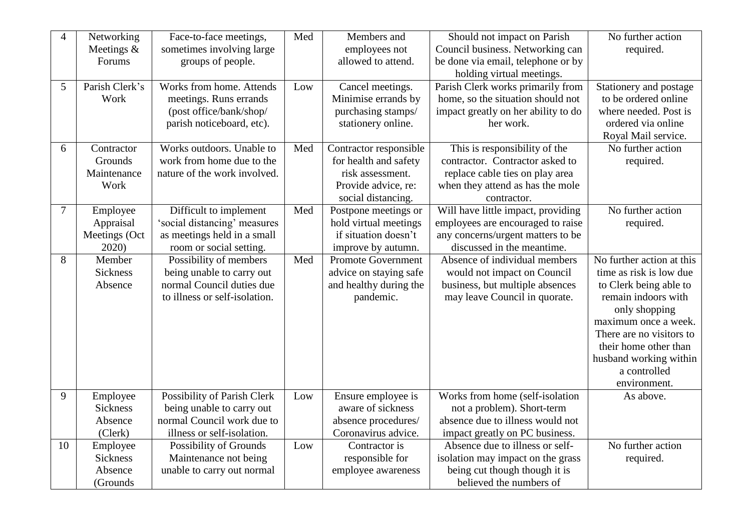| $\overline{4}$ | Networking                 | Face-to-face meetings,                                 | Med | Members and                                   | Should not impact on Parish                                            | No further action         |
|----------------|----------------------------|--------------------------------------------------------|-----|-----------------------------------------------|------------------------------------------------------------------------|---------------------------|
|                | Meetings $&$<br>Forums     | sometimes involving large<br>groups of people.         |     | employees not<br>allowed to attend.           | Council business. Networking can<br>be done via email, telephone or by | required.                 |
|                |                            |                                                        |     |                                               | holding virtual meetings.                                              |                           |
| 5              | Parish Clerk's             | Works from home. Attends                               | Low | Cancel meetings.                              | Parish Clerk works primarily from                                      | Stationery and postage    |
|                | Work                       | meetings. Runs errands                                 |     | Minimise errands by                           | home, so the situation should not                                      | to be ordered online      |
|                |                            | (post office/bank/shop/                                |     | purchasing stamps/                            | impact greatly on her ability to do                                    | where needed. Post is     |
|                |                            | parish noticeboard, etc).                              |     | stationery online.                            | her work.                                                              | ordered via online        |
|                |                            |                                                        |     |                                               |                                                                        | Royal Mail service.       |
| 6              | Contractor                 | Works outdoors. Unable to                              | Med | Contractor responsible                        | This is responsibility of the                                          | No further action         |
|                | Grounds                    | work from home due to the                              |     | for health and safety                         | contractor. Contractor asked to                                        | required.                 |
|                | Maintenance                | nature of the work involved.                           |     | risk assessment.                              | replace cable ties on play area                                        |                           |
|                | Work                       |                                                        |     | Provide advice, re:                           | when they attend as has the mole                                       |                           |
|                |                            |                                                        |     | social distancing.                            | contractor.                                                            |                           |
| $\overline{7}$ | Employee                   | Difficult to implement                                 | Med | Postpone meetings or                          | Will have little impact, providing                                     | No further action         |
|                | Appraisal                  | 'social distancing' measures                           |     | hold virtual meetings<br>if situation doesn't | employees are encouraged to raise                                      | required.                 |
|                | Meetings (Oct<br>2020)     | as meetings held in a small<br>room or social setting. |     | improve by autumn.                            | any concerns/urgent matters to be<br>discussed in the meantime.        |                           |
| 8              | Member                     | Possibility of members                                 | Med | <b>Promote Government</b>                     | Absence of individual members                                          | No further action at this |
|                | <b>Sickness</b>            | being unable to carry out                              |     | advice on staying safe                        | would not impact on Council                                            | time as risk is low due   |
|                | Absence                    | normal Council duties due                              |     | and healthy during the                        | business, but multiple absences                                        | to Clerk being able to    |
|                |                            | to illness or self-isolation.                          |     | pandemic.                                     | may leave Council in quorate.                                          | remain indoors with       |
|                |                            |                                                        |     |                                               |                                                                        | only shopping             |
|                |                            |                                                        |     |                                               |                                                                        | maximum once a week.      |
|                |                            |                                                        |     |                                               |                                                                        | There are no visitors to  |
|                |                            |                                                        |     |                                               |                                                                        | their home other than     |
|                |                            |                                                        |     |                                               |                                                                        | husband working within    |
|                |                            |                                                        |     |                                               |                                                                        | a controlled              |
|                |                            |                                                        |     |                                               |                                                                        | environment.              |
| 9              | Employee                   | Possibility of Parish Clerk                            | Low | Ensure employee is                            | Works from home (self-isolation                                        | As above.                 |
|                | <b>Sickness</b>            | being unable to carry out                              |     | aware of sickness                             | not a problem). Short-term                                             |                           |
|                | Absence                    | normal Council work due to                             |     | absence procedures/                           | absence due to illness would not                                       |                           |
|                | (Clerk)                    | illness or self-isolation.                             |     | Coronavirus advice.                           | impact greatly on PC business.                                         |                           |
| 10             | Employee                   | Possibility of Grounds                                 | Low | Contractor is                                 | Absence due to illness or self-                                        | No further action         |
|                | <b>Sickness</b><br>Absence | Maintenance not being<br>unable to carry out normal    |     | responsible for<br>employee awareness         | isolation may impact on the grass<br>being cut though though it is     | required.                 |
|                | (Grounds                   |                                                        |     |                                               | believed the numbers of                                                |                           |
|                |                            |                                                        |     |                                               |                                                                        |                           |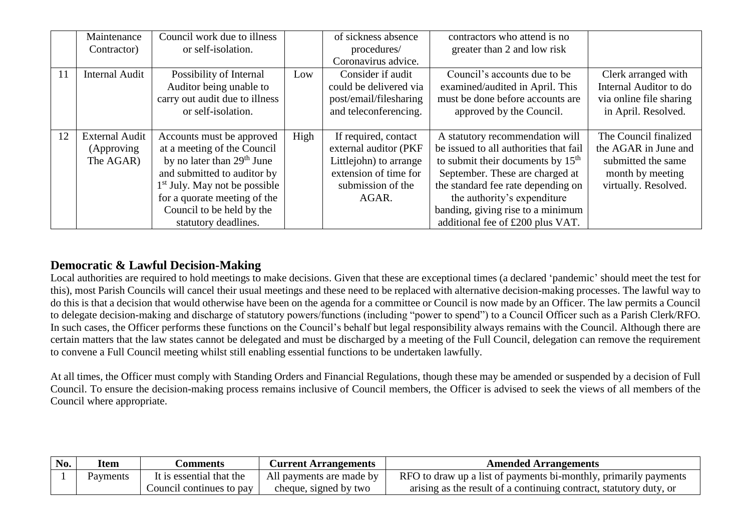|    | Maintenance<br>Contractor)                       | Council work due to illness<br>or self-isolation.                                                                                                                                                                                                         |      | of sickness absence<br>procedures/                                                                                             | contractors who attend is no<br>greater than 2 and low risk                                                                                                                                                                                                                                       |                                                                                                                 |
|----|--------------------------------------------------|-----------------------------------------------------------------------------------------------------------------------------------------------------------------------------------------------------------------------------------------------------------|------|--------------------------------------------------------------------------------------------------------------------------------|---------------------------------------------------------------------------------------------------------------------------------------------------------------------------------------------------------------------------------------------------------------------------------------------------|-----------------------------------------------------------------------------------------------------------------|
|    |                                                  |                                                                                                                                                                                                                                                           |      | Coronavirus advice.                                                                                                            |                                                                                                                                                                                                                                                                                                   |                                                                                                                 |
| 11 | <b>Internal Audit</b>                            | Possibility of Internal<br>Auditor being unable to<br>carry out audit due to illness<br>or self-isolation.                                                                                                                                                | Low  | Consider if audit<br>could be delivered via<br>post/email/filesharing<br>and teleconferencing.                                 | Council's accounts due to be<br>examined/audited in April. This<br>must be done before accounts are<br>approved by the Council.                                                                                                                                                                   | Clerk arranged with<br>Internal Auditor to do<br>via online file sharing<br>in April. Resolved.                 |
| 12 | <b>External Audit</b><br>(Approving<br>The AGAR) | Accounts must be approved<br>at a meeting of the Council<br>by no later than $29th$ June<br>and submitted to auditor by<br>1 <sup>st</sup> July. May not be possible<br>for a quorate meeting of the<br>Council to be held by the<br>statutory deadlines. | High | If required, contact<br>external auditor (PKF<br>Littlejohn) to arrange<br>extension of time for<br>submission of the<br>AGAR. | A statutory recommendation will<br>be issued to all authorities that fail<br>to submit their documents by $15th$<br>September. These are charged at<br>the standard fee rate depending on<br>the authority's expenditure<br>banding, giving rise to a minimum<br>additional fee of £200 plus VAT. | The Council finalized<br>the AGAR in June and<br>submitted the same<br>month by meeting<br>virtually. Resolved. |

## **Democratic & Lawful Decision-Making**

Local authorities are required to hold meetings to make decisions. Given that these are exceptional times (a declared 'pandemic' should meet the test for this), most Parish Councils will cancel their usual meetings and these need to be replaced with alternative decision-making processes. The lawful way to do this is that a decision that would otherwise have been on the agenda for a committee or Council is now made by an Officer. The law permits a Council to delegate decision-making and discharge of statutory powers/functions (including "power to spend") to a Council Officer such as a Parish Clerk/RFO. In such cases, the Officer performs these functions on the Council's behalf but legal responsibility always remains with the Council. Although there are certain matters that the law states cannot be delegated and must be discharged by a meeting of the Full Council, delegation can remove the requirement to convene a Full Council meeting whilst still enabling essential functions to be undertaken lawfully.

At all times, the Officer must comply with Standing Orders and Financial Regulations, though these may be amended or suspended by a decision of Full Council. To ensure the decision-making process remains inclusive of Council members, the Officer is advised to seek the views of all members of the Council where appropriate.

| No. | Item     | <b>Comments</b>          | <b>Current Arrangements</b> | <b>Amended Arrangements</b>                                        |
|-----|----------|--------------------------|-----------------------------|--------------------------------------------------------------------|
|     | Payments | It is essential that the | All payments are made by    | RFO to draw up a list of payments bi-monthly, primarily payments   |
|     |          | Council continues to pay | cheque, signed by two       | arising as the result of a continuing contract, statutory duty, or |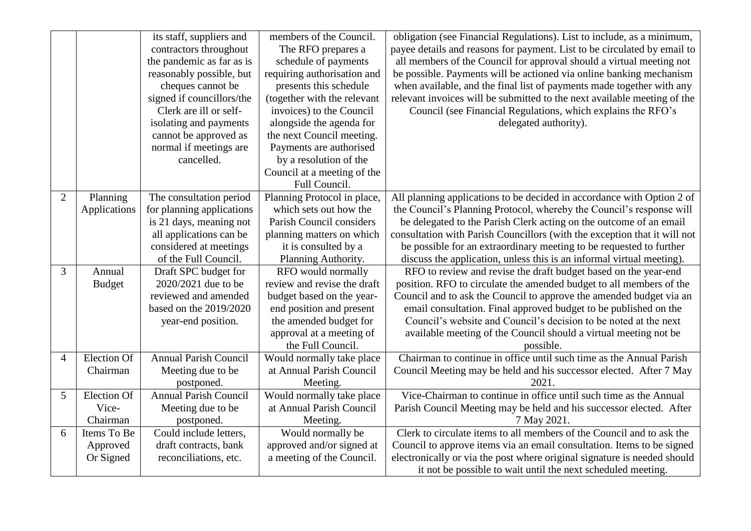|                |                    | its staff, suppliers and     | members of the Council.     | obligation (see Financial Regulations). List to include, as a minimum,    |
|----------------|--------------------|------------------------------|-----------------------------|---------------------------------------------------------------------------|
|                |                    | contractors throughout       | The RFO prepares a          | payee details and reasons for payment. List to be circulated by email to  |
|                |                    | the pandemic as far as is    | schedule of payments        | all members of the Council for approval should a virtual meeting not      |
|                |                    | reasonably possible, but     | requiring authorisation and | be possible. Payments will be actioned via online banking mechanism       |
|                |                    | cheques cannot be            | presents this schedule      | when available, and the final list of payments made together with any     |
|                |                    | signed if councillors/the    | (together with the relevant | relevant invoices will be submitted to the next available meeting of the  |
|                |                    | Clerk are ill or self-       | invoices) to the Council    | Council (see Financial Regulations, which explains the RFO's              |
|                |                    | isolating and payments       | alongside the agenda for    | delegated authority).                                                     |
|                |                    | cannot be approved as        | the next Council meeting.   |                                                                           |
|                |                    | normal if meetings are       | Payments are authorised     |                                                                           |
|                |                    | cancelled.                   | by a resolution of the      |                                                                           |
|                |                    |                              | Council at a meeting of the |                                                                           |
|                |                    |                              | Full Council.               |                                                                           |
| $\overline{2}$ | Planning           | The consultation period      | Planning Protocol in place, | All planning applications to be decided in accordance with Option 2 of    |
|                | Applications       | for planning applications    | which sets out how the      | the Council's Planning Protocol, whereby the Council's response will      |
|                |                    | is 21 days, meaning not      | Parish Council considers    | be delegated to the Parish Clerk acting on the outcome of an email        |
|                |                    | all applications can be      | planning matters on which   | consultation with Parish Councillors (with the exception that it will not |
|                |                    | considered at meetings       | it is consulted by a        | be possible for an extraordinary meeting to be requested to further       |
|                |                    | of the Full Council.         | Planning Authority.         | discuss the application, unless this is an informal virtual meeting).     |
| 3              | Annual             | Draft SPC budget for         | RFO would normally          | RFO to review and revise the draft budget based on the year-end           |
|                | <b>Budget</b>      | 2020/2021 due to be          | review and revise the draft | position. RFO to circulate the amended budget to all members of the       |
|                |                    | reviewed and amended         | budget based on the year-   | Council and to ask the Council to approve the amended budget via an       |
|                |                    | based on the 2019/2020       | end position and present    | email consultation. Final approved budget to be published on the          |
|                |                    | year-end position.           | the amended budget for      | Council's website and Council's decision to be noted at the next          |
|                |                    |                              | approval at a meeting of    | available meeting of the Council should a virtual meeting not be          |
|                |                    |                              | the Full Council.           | possible.                                                                 |
| $\overline{4}$ | Election Of        | <b>Annual Parish Council</b> | Would normally take place   | Chairman to continue in office until such time as the Annual Parish       |
|                | Chairman           | Meeting due to be            | at Annual Parish Council    | Council Meeting may be held and his successor elected. After 7 May        |
|                |                    | postponed.                   | Meeting.                    | 2021.                                                                     |
| 5              | <b>Election Of</b> | <b>Annual Parish Council</b> | Would normally take place   | Vice-Chairman to continue in office until such time as the Annual         |
|                | Vice-              | Meeting due to be            | at Annual Parish Council    | Parish Council Meeting may be held and his successor elected. After       |
|                | Chairman           | postponed.                   | Meeting.                    | 7 May 2021.                                                               |
| 6              | Items To Be        | Could include letters,       | Would normally be           | Clerk to circulate items to all members of the Council and to ask the     |
|                | Approved           | draft contracts, bank        | approved and/or signed at   | Council to approve items via an email consultation. Items to be signed    |
|                | Or Signed          | reconciliations, etc.        | a meeting of the Council.   | electronically or via the post where original signature is needed should  |
|                |                    |                              |                             | it not be possible to wait until the next scheduled meeting.              |